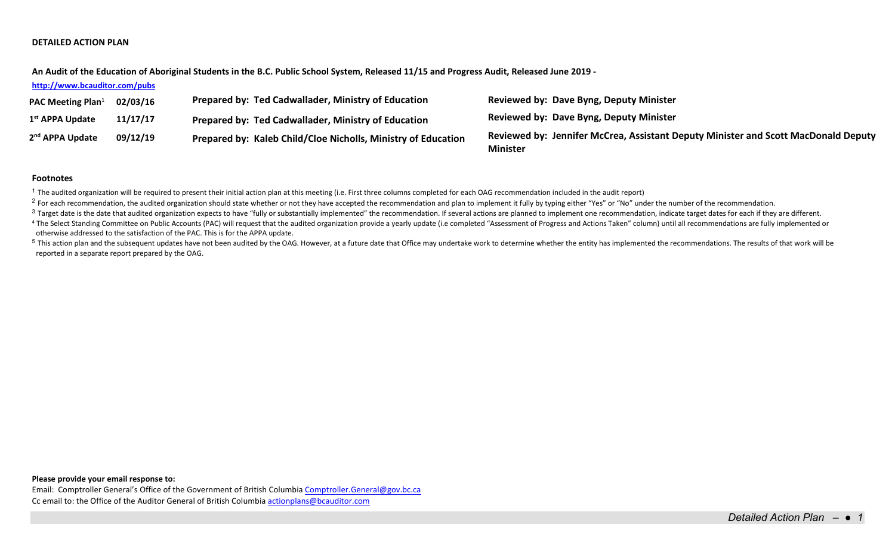## **DETAILED ACTION PLAN**

**An Audit of the Education of Aboriginal Students in the B.C. Public School System, Released 11/15 and Progress Audit, Released June 2019 -**

### **<http://www.bcauditor.com/pubs>**

| <b>PAC Meeting Plan</b> <sup>1</sup> | 02/03/16 | Prepared by: Ted Cadwallader, Ministry of Education           | Reviewed by: Dave Byng, Deputy Minister                                                               |
|--------------------------------------|----------|---------------------------------------------------------------|-------------------------------------------------------------------------------------------------------|
| 1 <sup>st</sup> APPA Update          | 11/17/17 | Prepared by: Ted Cadwallader, Ministry of Education           | <b>Reviewed by: Dave Byng, Deputy Minister</b>                                                        |
| 2 <sup>nd</sup> APPA Update          | 09/12/19 | Prepared by: Kaleb Child/Cloe Nicholls, Ministry of Education | Reviewed by: Jennifer McCrea, Assistant Deputy Minister and Scott MacDonald Deputy<br><b>Minister</b> |

### **Footnotes**

 $1$  The audited organization will be required to present their initial action plan at this meeting (i.e. First three columns completed for each OAG recommendation included in the audit report)

<sup>2</sup> For each recommendation, the audited organization should state whether or not they have accepted the recommendation and plan to implement it fully by typing either "Yes" or "No" under the number of the recommendation.

<sup>3</sup> Target date is the date that audited organization expects to have "fully or substantially implemented" the recommendation. If several actions are planned to implement one recommendation, indicate target dates for each

<sup>4</sup> The Select Standing Committee on Public Accounts (PAC) will request that the audited organization provide a yearly update (i.e completed "Assessment of Progress and Actions Taken" column) until all recommendations are otherwise addressed to the satisfaction of the PAC. This is for the APPA update.

<sup>5</sup> This action plan and the subsequent updates have not been audited by the OAG. However, at a future date that Office may undertake work to determine whether the entity has implemented the recommendations. The results of reported in a separate report prepared by the OAG.

## **Please provide your email response to:**

Email: Comptroller General's Office of the Government of British Columbi[a Comptroller.General@gov.bc.ca](mailto:Comptroller.General@gov.bc.ca) Cc email to: the Office of the Auditor General of British Columbi[a actionplans@bcauditor.com](mailto:actionplans@bcauditor.com)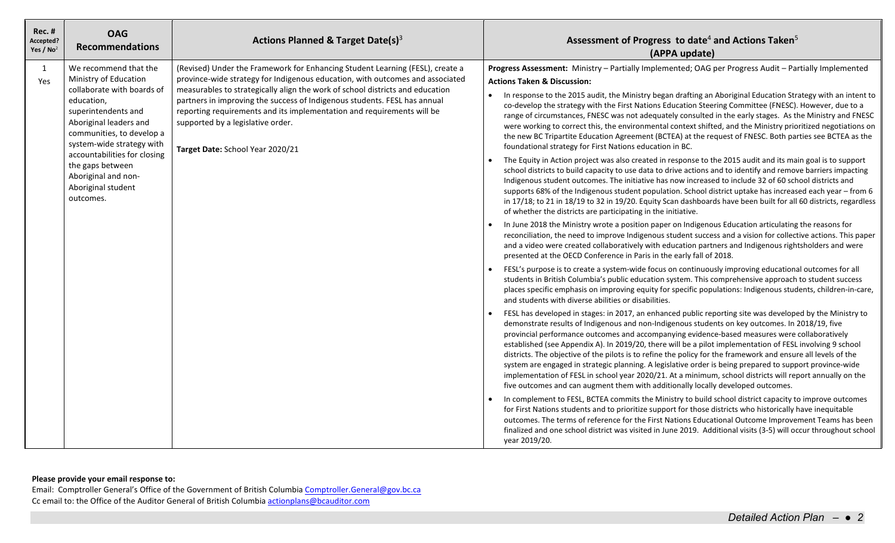| <b>Rec. #</b><br>Accepted?<br>Yes / $No2$ | <b>OAG</b><br><b>Recommendations</b>                                                                                                                                                                                                                                                                                | Actions Planned & Target Date(s) $3$                                                                                                                                                                                                                                                                                                                                                                                                                                            | Assessment of Progress to date <sup>4</sup> and Actions Taken <sup>5</sup><br>(APPA update)                                                                                                                                                                                                                                                                                                                                                                                                                                                                                                                                                                                                                                                                                                                                                                                                                                                                                                                                                                                                                                                                                                                                                                                                                                                                                                                                                                                                                                                                                                                                                                                                                                                                                                                                                                                                                                                                                                                                                                                                                                                                                                                                                                                                                                                                                                                                                                                                                                                                                                                                                                                                                                                                                                                                                                                                                                                                                                                                                                                                                                                                                                                                 |
|-------------------------------------------|---------------------------------------------------------------------------------------------------------------------------------------------------------------------------------------------------------------------------------------------------------------------------------------------------------------------|---------------------------------------------------------------------------------------------------------------------------------------------------------------------------------------------------------------------------------------------------------------------------------------------------------------------------------------------------------------------------------------------------------------------------------------------------------------------------------|-----------------------------------------------------------------------------------------------------------------------------------------------------------------------------------------------------------------------------------------------------------------------------------------------------------------------------------------------------------------------------------------------------------------------------------------------------------------------------------------------------------------------------------------------------------------------------------------------------------------------------------------------------------------------------------------------------------------------------------------------------------------------------------------------------------------------------------------------------------------------------------------------------------------------------------------------------------------------------------------------------------------------------------------------------------------------------------------------------------------------------------------------------------------------------------------------------------------------------------------------------------------------------------------------------------------------------------------------------------------------------------------------------------------------------------------------------------------------------------------------------------------------------------------------------------------------------------------------------------------------------------------------------------------------------------------------------------------------------------------------------------------------------------------------------------------------------------------------------------------------------------------------------------------------------------------------------------------------------------------------------------------------------------------------------------------------------------------------------------------------------------------------------------------------------------------------------------------------------------------------------------------------------------------------------------------------------------------------------------------------------------------------------------------------------------------------------------------------------------------------------------------------------------------------------------------------------------------------------------------------------------------------------------------------------------------------------------------------------------------------------------------------------------------------------------------------------------------------------------------------------------------------------------------------------------------------------------------------------------------------------------------------------------------------------------------------------------------------------------------------------------------------------------------------------------------------------------------------------|
| 1<br>Yes                                  | We recommend that the<br>Ministry of Education<br>collaborate with boards of<br>education,<br>superintendents and<br>Aboriginal leaders and<br>communities, to develop a<br>system-wide strategy with<br>accountabilities for closing<br>the gaps between<br>Aboriginal and non-<br>Aboriginal student<br>outcomes. | (Revised) Under the Framework for Enhancing Student Learning (FESL), create a<br>province-wide strategy for Indigenous education, with outcomes and associated<br>measurables to strategically align the work of school districts and education<br>partners in improving the success of Indigenous students. FESL has annual<br>reporting requirements and its implementation and requirements will be<br>supported by a legislative order.<br>Target Date: School Year 2020/21 | Progress Assessment: Ministry - Partially Implemented; OAG per Progress Audit - Partially Implemented<br><b>Actions Taken &amp; Discussion:</b><br>In response to the 2015 audit, the Ministry began drafting an Aboriginal Education Strategy with an intent to<br>$\bullet$<br>co-develop the strategy with the First Nations Education Steering Committee (FNESC). However, due to a<br>range of circumstances, FNESC was not adequately consulted in the early stages. As the Ministry and FNESC<br>were working to correct this, the environmental context shifted, and the Ministry prioritized negotiations on<br>the new BC Tripartite Education Agreement (BCTEA) at the request of FNESC. Both parties see BCTEA as the<br>foundational strategy for First Nations education in BC.<br>The Equity in Action project was also created in response to the 2015 audit and its main goal is to support<br>school districts to build capacity to use data to drive actions and to identify and remove barriers impacting<br>Indigenous student outcomes. The initiative has now increased to include 32 of 60 school districts and<br>supports 68% of the Indigenous student population. School district uptake has increased each year - from 6<br>in 17/18; to 21 in 18/19 to 32 in 19/20. Equity Scan dashboards have been built for all 60 districts, regardless<br>of whether the districts are participating in the initiative.<br>In June 2018 the Ministry wrote a position paper on Indigenous Education articulating the reasons for<br>reconciliation, the need to improve Indigenous student success and a vision for collective actions. This paper<br>and a video were created collaboratively with education partners and Indigenous rightsholders and were<br>presented at the OECD Conference in Paris in the early fall of 2018.<br>FESL's purpose is to create a system-wide focus on continuously improving educational outcomes for all<br>students in British Columbia's public education system. This comprehensive approach to student success<br>places specific emphasis on improving equity for specific populations: Indigenous students, children-in-care,<br>and students with diverse abilities or disabilities.<br>FESL has developed in stages: in 2017, an enhanced public reporting site was developed by the Ministry to<br>demonstrate results of Indigenous and non-Indigenous students on key outcomes. In 2018/19, five<br>provincial performance outcomes and accompanying evidence-based measures were collaboratively<br>established (see Appendix A). In 2019/20, there will be a pilot implementation of FESL involving 9 school<br>districts. The objective of the pilots is to refine the policy for the framework and ensure all levels of the<br>system are engaged in strategic planning. A legislative order is being prepared to support province-wide<br>implementation of FESL in school year 2020/21. At a minimum, school districts will report annually on the<br>five outcomes and can augment them with additionally locally developed outcomes.<br>In complement to FESL, BCTEA commits the Ministry to build school district capacity to improve outcomes |
|                                           |                                                                                                                                                                                                                                                                                                                     |                                                                                                                                                                                                                                                                                                                                                                                                                                                                                 | for First Nations students and to prioritize support for those districts who historically have inequitable<br>outcomes. The terms of reference for the First Nations Educational Outcome Improvement Teams has been<br>finalized and one school district was visited in June 2019. Additional visits (3-5) will occur throughout school<br>year 2019/20.                                                                                                                                                                                                                                                                                                                                                                                                                                                                                                                                                                                                                                                                                                                                                                                                                                                                                                                                                                                                                                                                                                                                                                                                                                                                                                                                                                                                                                                                                                                                                                                                                                                                                                                                                                                                                                                                                                                                                                                                                                                                                                                                                                                                                                                                                                                                                                                                                                                                                                                                                                                                                                                                                                                                                                                                                                                                    |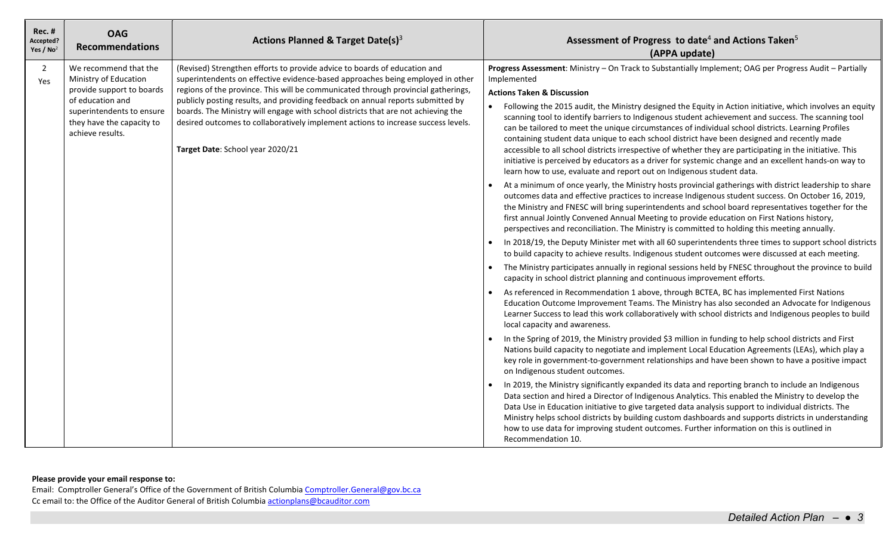| <b>Rec. #</b><br>Accepted?<br>Yes / $No2$ | <b>OAG</b><br><b>Recommendations</b>                                                                                                                                          | Actions Planned & Target Date(s) $3$                                                                                                                                                                                                                                                                                                                                                                                                                                                                                                              | Assessment of Progress to date <sup>4</sup> and Actions Taken <sup>5</sup><br>(APPA update)                                                                                                                                                                                                                                                                                                                                                                                                                                                                                                                                                                                                                                                                                                                                                                                                                                                                                                                                                                                                                                                                                                                                                                                                                                                                                                                                                                                                                                                                                                                                                                                                                                                                                                                                                                                                                                                                                                                                                                                                                                                                                                                                                                                                                                                                                                                                                                                                                                                                                                                                                                                                                                                                                                                                                                                                                                                                                                                                                                                          |
|-------------------------------------------|-------------------------------------------------------------------------------------------------------------------------------------------------------------------------------|---------------------------------------------------------------------------------------------------------------------------------------------------------------------------------------------------------------------------------------------------------------------------------------------------------------------------------------------------------------------------------------------------------------------------------------------------------------------------------------------------------------------------------------------------|--------------------------------------------------------------------------------------------------------------------------------------------------------------------------------------------------------------------------------------------------------------------------------------------------------------------------------------------------------------------------------------------------------------------------------------------------------------------------------------------------------------------------------------------------------------------------------------------------------------------------------------------------------------------------------------------------------------------------------------------------------------------------------------------------------------------------------------------------------------------------------------------------------------------------------------------------------------------------------------------------------------------------------------------------------------------------------------------------------------------------------------------------------------------------------------------------------------------------------------------------------------------------------------------------------------------------------------------------------------------------------------------------------------------------------------------------------------------------------------------------------------------------------------------------------------------------------------------------------------------------------------------------------------------------------------------------------------------------------------------------------------------------------------------------------------------------------------------------------------------------------------------------------------------------------------------------------------------------------------------------------------------------------------------------------------------------------------------------------------------------------------------------------------------------------------------------------------------------------------------------------------------------------------------------------------------------------------------------------------------------------------------------------------------------------------------------------------------------------------------------------------------------------------------------------------------------------------------------------------------------------------------------------------------------------------------------------------------------------------------------------------------------------------------------------------------------------------------------------------------------------------------------------------------------------------------------------------------------------------------------------------------------------------------------------------------------------------|
| $\overline{2}$<br>Yes                     | We recommend that the<br>Ministry of Education<br>provide support to boards<br>of education and<br>superintendents to ensure<br>they have the capacity to<br>achieve results. | (Revised) Strengthen efforts to provide advice to boards of education and<br>superintendents on effective evidence-based approaches being employed in other<br>regions of the province. This will be communicated through provincial gatherings,<br>publicly posting results, and providing feedback on annual reports submitted by<br>boards. The Ministry will engage with school districts that are not achieving the<br>desired outcomes to collaboratively implement actions to increase success levels.<br>Target Date: School year 2020/21 | Progress Assessment: Ministry - On Track to Substantially Implement; OAG per Progress Audit - Partially<br>Implemented<br><b>Actions Taken &amp; Discussion</b><br>Following the 2015 audit, the Ministry designed the Equity in Action initiative, which involves an equity<br>scanning tool to identify barriers to Indigenous student achievement and success. The scanning tool<br>can be tailored to meet the unique circumstances of individual school districts. Learning Profiles<br>containing student data unique to each school district have been designed and recently made<br>accessible to all school districts irrespective of whether they are participating in the initiative. This<br>initiative is perceived by educators as a driver for systemic change and an excellent hands-on way to<br>learn how to use, evaluate and report out on Indigenous student data.<br>At a minimum of once yearly, the Ministry hosts provincial gatherings with district leadership to share<br>outcomes data and effective practices to increase Indigenous student success. On October 16, 2019,<br>the Ministry and FNESC will bring superintendents and school board representatives together for the<br>first annual Jointly Convened Annual Meeting to provide education on First Nations history,<br>perspectives and reconciliation. The Ministry is committed to holding this meeting annually.<br>In 2018/19, the Deputy Minister met with all 60 superintendents three times to support school districts<br>$\bullet$<br>to build capacity to achieve results. Indigenous student outcomes were discussed at each meeting.<br>The Ministry participates annually in regional sessions held by FNESC throughout the province to build<br>capacity in school district planning and continuous improvement efforts.<br>As referenced in Recommendation 1 above, through BCTEA, BC has implemented First Nations<br>Education Outcome Improvement Teams. The Ministry has also seconded an Advocate for Indigenous<br>Learner Success to lead this work collaboratively with school districts and Indigenous peoples to build<br>local capacity and awareness.<br>In the Spring of 2019, the Ministry provided \$3 million in funding to help school districts and First<br>Nations build capacity to negotiate and implement Local Education Agreements (LEAs), which play a<br>key role in government-to-government relationships and have been shown to have a positive impact<br>on Indigenous student outcomes.<br>In 2019, the Ministry significantly expanded its data and reporting branch to include an Indigenous<br>Data section and hired a Director of Indigenous Analytics. This enabled the Ministry to develop the<br>Data Use in Education initiative to give targeted data analysis support to individual districts. The<br>Ministry helps school districts by building custom dashboards and supports districts in understanding<br>how to use data for improving student outcomes. Further information on this is outlined in<br>Recommendation 10. |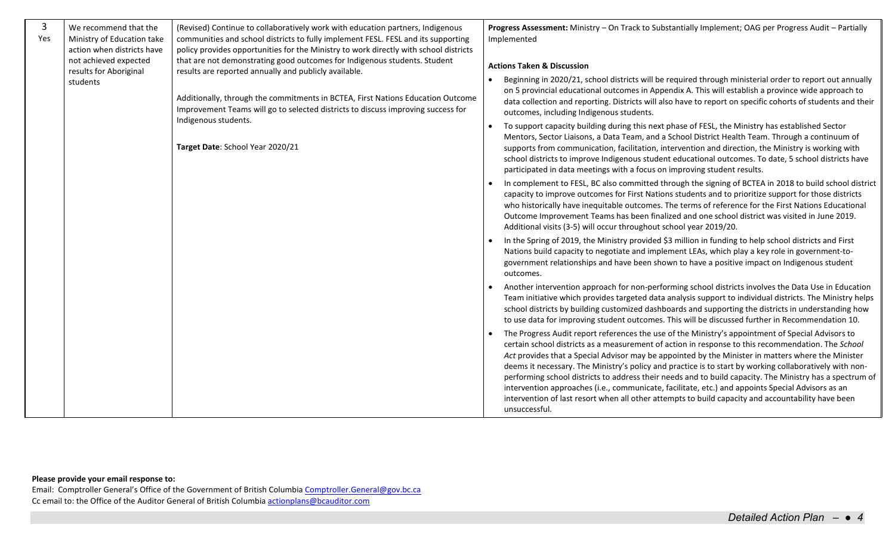| $\overline{3}$<br>Yes | We recommend that the<br>Ministry of Education take<br>action when districts have<br>not achieved expected | (Revised) Continue to collaboratively work with education partners, Indigenous<br>communities and school districts to fully implement FESL. FESL and its supporting<br>policy provides opportunities for the Ministry to work directly with school districts<br>that are not demonstrating good outcomes for Indigenous students. Student |           | Progress Assessment: Ministry - On Track to Substantially Implement; OAG per Progress Audit - Partially<br>Implemented<br><b>Actions Taken &amp; Discussion</b>                                                                                                                                                                                                                                                                                                                                                                                                                                                                                                                                                                                                                                                                                                                                                                                                                                                                                                                                                                                                                                                                                                                                                                                                                                                                                                                                                                                                                                                                                                                                                                                                                                                                                                                                                                                                                                                                                                                                                                                                                                                                                                                                                                                                                                                                                                                                                                                                                                                                                                                                                                                                                                                                                                                                 |
|-----------------------|------------------------------------------------------------------------------------------------------------|-------------------------------------------------------------------------------------------------------------------------------------------------------------------------------------------------------------------------------------------------------------------------------------------------------------------------------------------|-----------|-------------------------------------------------------------------------------------------------------------------------------------------------------------------------------------------------------------------------------------------------------------------------------------------------------------------------------------------------------------------------------------------------------------------------------------------------------------------------------------------------------------------------------------------------------------------------------------------------------------------------------------------------------------------------------------------------------------------------------------------------------------------------------------------------------------------------------------------------------------------------------------------------------------------------------------------------------------------------------------------------------------------------------------------------------------------------------------------------------------------------------------------------------------------------------------------------------------------------------------------------------------------------------------------------------------------------------------------------------------------------------------------------------------------------------------------------------------------------------------------------------------------------------------------------------------------------------------------------------------------------------------------------------------------------------------------------------------------------------------------------------------------------------------------------------------------------------------------------------------------------------------------------------------------------------------------------------------------------------------------------------------------------------------------------------------------------------------------------------------------------------------------------------------------------------------------------------------------------------------------------------------------------------------------------------------------------------------------------------------------------------------------------------------------------------------------------------------------------------------------------------------------------------------------------------------------------------------------------------------------------------------------------------------------------------------------------------------------------------------------------------------------------------------------------------------------------------------------------------------------------------------------------|
|                       | results for Aboriginal<br>students                                                                         | results are reported annually and publicly available.<br>Additionally, through the commitments in BCTEA, First Nations Education Outcome<br>Improvement Teams will go to selected districts to discuss improving success for<br>Indigenous students.<br>Target Date: School Year 2020/21                                                  | $\bullet$ | Beginning in 2020/21, school districts will be required through ministerial order to report out annually<br>on 5 provincial educational outcomes in Appendix A. This will establish a province wide approach to<br>data collection and reporting. Districts will also have to report on specific cohorts of students and their<br>outcomes, including Indigenous students.<br>To support capacity building during this next phase of FESL, the Ministry has established Sector<br>Mentors, Sector Liaisons, a Data Team, and a School District Health Team. Through a continuum of<br>supports from communication, facilitation, intervention and direction, the Ministry is working with<br>school districts to improve Indigenous student educational outcomes. To date, 5 school districts have<br>participated in data meetings with a focus on improving student results.<br>In complement to FESL, BC also committed through the signing of BCTEA in 2018 to build school district<br>capacity to improve outcomes for First Nations students and to prioritize support for those districts<br>who historically have inequitable outcomes. The terms of reference for the First Nations Educational<br>Outcome Improvement Teams has been finalized and one school district was visited in June 2019.<br>Additional visits (3-5) will occur throughout school year 2019/20.<br>In the Spring of 2019, the Ministry provided \$3 million in funding to help school districts and First<br>Nations build capacity to negotiate and implement LEAs, which play a key role in government-to-<br>government relationships and have been shown to have a positive impact on Indigenous student<br>outcomes.<br>Another intervention approach for non-performing school districts involves the Data Use in Education<br>Team initiative which provides targeted data analysis support to individual districts. The Ministry helps<br>school districts by building customized dashboards and supporting the districts in understanding how<br>to use data for improving student outcomes. This will be discussed further in Recommendation 10.<br>The Progress Audit report references the use of the Ministry's appointment of Special Advisors to<br>certain school districts as a measurement of action in response to this recommendation. The School<br>Act provides that a Special Advisor may be appointed by the Minister in matters where the Minister<br>deems it necessary. The Ministry's policy and practice is to start by working collaboratively with non-<br>performing school districts to address their needs and to build capacity. The Ministry has a spectrum of<br>intervention approaches (i.e., communicate, facilitate, etc.) and appoints Special Advisors as an<br>intervention of last resort when all other attempts to build capacity and accountability have been |
|                       |                                                                                                            |                                                                                                                                                                                                                                                                                                                                           |           | unsuccessful.                                                                                                                                                                                                                                                                                                                                                                                                                                                                                                                                                                                                                                                                                                                                                                                                                                                                                                                                                                                                                                                                                                                                                                                                                                                                                                                                                                                                                                                                                                                                                                                                                                                                                                                                                                                                                                                                                                                                                                                                                                                                                                                                                                                                                                                                                                                                                                                                                                                                                                                                                                                                                                                                                                                                                                                                                                                                                   |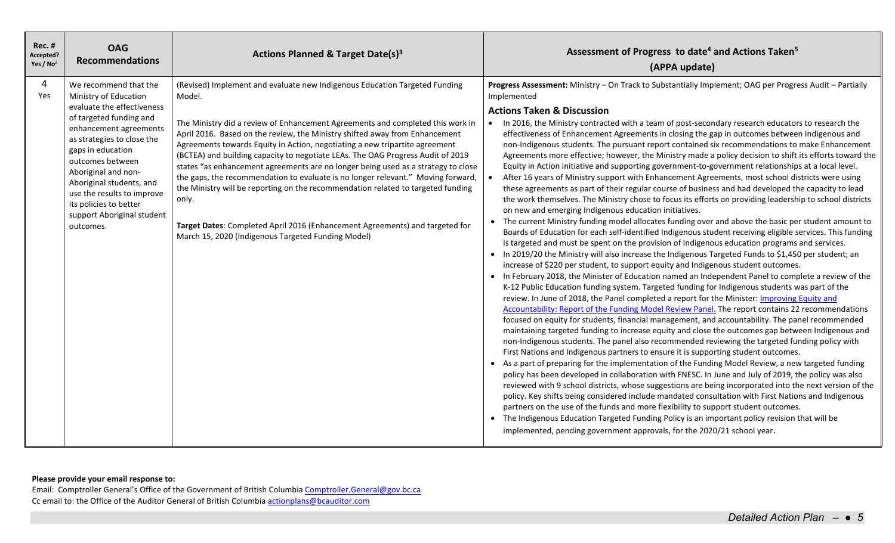| <b>Rec. #</b><br>Accepted?<br>Yes / $No2$ | <b>OAG</b><br><b>Recommendations</b>                                                                                                                                                                                                                                                                                                                           | <b>Actions Planned &amp; Target Date(s)3</b>                                                                                                                                                                                                                                                                                                                                                                                                                                                                                                                                                                                                                                                                                                                                                                                        | Assessment of Progress to date <sup>4</sup> and Actions Taken <sup>5</sup><br>(APPA update)                                                                                                                                                                                                                                                                                                                                                                                                                                                                                                                                                                                                                                                                                                                                                                                                                                                                                                                                                                                                                                                                                                                                                                                                                                                                                                                                                                                                                                                                                                                                                                                                                                                                                                                                                                                                                                                                                                                                                                                                                                                                                                                                                                                                                                                                                                                                                                                                                                                                                                                                                                                                                                                                                                                                                                                                                                                                                                                                                                                                                                |
|-------------------------------------------|----------------------------------------------------------------------------------------------------------------------------------------------------------------------------------------------------------------------------------------------------------------------------------------------------------------------------------------------------------------|-------------------------------------------------------------------------------------------------------------------------------------------------------------------------------------------------------------------------------------------------------------------------------------------------------------------------------------------------------------------------------------------------------------------------------------------------------------------------------------------------------------------------------------------------------------------------------------------------------------------------------------------------------------------------------------------------------------------------------------------------------------------------------------------------------------------------------------|----------------------------------------------------------------------------------------------------------------------------------------------------------------------------------------------------------------------------------------------------------------------------------------------------------------------------------------------------------------------------------------------------------------------------------------------------------------------------------------------------------------------------------------------------------------------------------------------------------------------------------------------------------------------------------------------------------------------------------------------------------------------------------------------------------------------------------------------------------------------------------------------------------------------------------------------------------------------------------------------------------------------------------------------------------------------------------------------------------------------------------------------------------------------------------------------------------------------------------------------------------------------------------------------------------------------------------------------------------------------------------------------------------------------------------------------------------------------------------------------------------------------------------------------------------------------------------------------------------------------------------------------------------------------------------------------------------------------------------------------------------------------------------------------------------------------------------------------------------------------------------------------------------------------------------------------------------------------------------------------------------------------------------------------------------------------------------------------------------------------------------------------------------------------------------------------------------------------------------------------------------------------------------------------------------------------------------------------------------------------------------------------------------------------------------------------------------------------------------------------------------------------------------------------------------------------------------------------------------------------------------------------------------------------------------------------------------------------------------------------------------------------------------------------------------------------------------------------------------------------------------------------------------------------------------------------------------------------------------------------------------------------------------------------------------------------------------------------------------------------------|
| 4<br>Yes                                  | We recommend that the<br>Ministry of Education<br>evaluate the effectiveness<br>of targeted funding and<br>enhancement agreements<br>as strategies to close the<br>gaps in education<br>outcomes between<br>Aboriginal and non-<br>Aboriginal students, and<br>use the results to improve<br>its policies to better<br>support Aboriginal student<br>outcomes. | (Revised) Implement and evaluate new Indigenous Education Targeted Funding<br>Model.<br>The Ministry did a review of Enhancement Agreements and completed this work in<br>April 2016. Based on the review, the Ministry shifted away from Enhancement<br>Agreements towards Equity in Action, negotiating a new tripartite agreement<br>(BCTEA) and building capacity to negotiate LEAs. The OAG Progress Audit of 2019<br>states "as enhancement agreements are no longer being used as a strategy to close<br>the gaps, the recommendation to evaluate is no longer relevant." Moving forward,<br>the Ministry will be reporting on the recommendation related to targeted funding<br>only.<br>Target Dates: Completed April 2016 (Enhancement Agreements) and targeted for<br>March 15, 2020 (Indigenous Targeted Funding Model) | Progress Assessment: Ministry - On Track to Substantially Implement; OAG per Progress Audit - Partially<br>Implemented<br><b>Actions Taken &amp; Discussion</b><br>. In 2016, the Ministry contracted with a team of post-secondary research educators to research the<br>effectiveness of Enhancement Agreements in closing the gap in outcomes between Indigenous and<br>non-Indigenous students. The pursuant report contained six recommendations to make Enhancement<br>Agreements more effective; however, the Ministry made a policy decision to shift its efforts toward the<br>Equity in Action initiative and supporting government-to-government relationships at a local level.<br>$\bullet$<br>After 16 years of Ministry support with Enhancement Agreements, most school districts were using<br>these agreements as part of their regular course of business and had developed the capacity to lead<br>the work themselves. The Ministry chose to focus its efforts on providing leadership to school districts<br>on new and emerging Indigenous education initiatives.<br>The current Ministry funding model allocates funding over and above the basic per student amount to<br>Boards of Education for each self-identified Indigenous student receiving eligible services. This funding<br>is targeted and must be spent on the provision of Indigenous education programs and services.<br>• In 2019/20 the Ministry will also increase the Indigenous Targeted Funds to \$1,450 per student; an<br>increase of \$220 per student, to support equity and Indigenous student outcomes.<br>• In February 2018, the Minister of Education named an Independent Panel to complete a review of the<br>K-12 Public Education funding system. Targeted funding for Indigenous students was part of the<br>review. In June of 2018, the Panel completed a report for the Minister: Improving Equity and<br>Accountability: Report of the Funding Model Review Panel. The report contains 22 recommendations<br>focused on equity for students, financial management, and accountability. The panel recommended<br>maintaining targeted funding to increase equity and close the outcomes gap between Indigenous and<br>non-Indigenous students. The panel also recommended reviewing the targeted funding policy with<br>First Nations and Indigenous partners to ensure it is supporting student outcomes.<br>As a part of preparing for the implementation of the Funding Model Review, a new targeted funding<br>policy has been developed in collaboration with FNESC. In June and July of 2019, the policy was also<br>reviewed with 9 school districts, whose suggestions are being incorporated into the next version of the<br>policy. Key shifts being considered include mandated consultation with First Nations and Indigenous<br>partners on the use of the funds and more flexibility to support student outcomes.<br>The Indigenous Education Targeted Funding Policy is an important policy revision that will be<br>implemented, pending government approvals, for the 2020/21 school year. |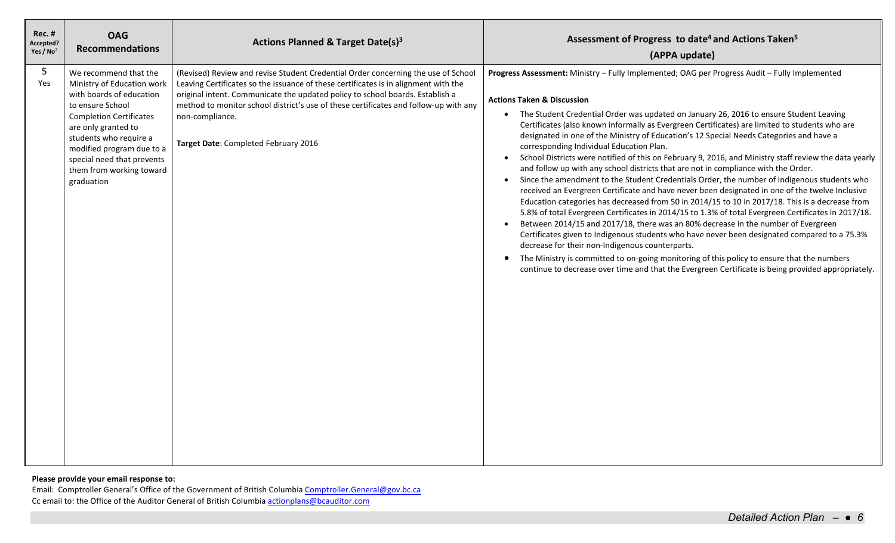| <b>Rec. #</b><br>Accepted?<br>Yes / No <sup>2</sup> | <b>OAG</b><br><b>Recommendations</b>                                                                                                                                                                                                                                                        | Actions Planned & Target Date(s) <sup>3</sup>                                                                                                                                                                                                                                                                                                                                                                | Assessment of Progress to date <sup>4</sup> and Actions Taken <sup>5</sup><br>(APPA update)                                                                                                                                                                                                                                                                                                                                                                                                                                                                                                                                                                                                                                                                                                                                                                                                                                                                                                                                                                                                                                                                                                                                                                                                                                                                                                                                                                                                                                                                               |
|-----------------------------------------------------|---------------------------------------------------------------------------------------------------------------------------------------------------------------------------------------------------------------------------------------------------------------------------------------------|--------------------------------------------------------------------------------------------------------------------------------------------------------------------------------------------------------------------------------------------------------------------------------------------------------------------------------------------------------------------------------------------------------------|---------------------------------------------------------------------------------------------------------------------------------------------------------------------------------------------------------------------------------------------------------------------------------------------------------------------------------------------------------------------------------------------------------------------------------------------------------------------------------------------------------------------------------------------------------------------------------------------------------------------------------------------------------------------------------------------------------------------------------------------------------------------------------------------------------------------------------------------------------------------------------------------------------------------------------------------------------------------------------------------------------------------------------------------------------------------------------------------------------------------------------------------------------------------------------------------------------------------------------------------------------------------------------------------------------------------------------------------------------------------------------------------------------------------------------------------------------------------------------------------------------------------------------------------------------------------------|
| 5<br>Yes                                            | We recommend that the<br>Ministry of Education work<br>with boards of education<br>to ensure School<br><b>Completion Certificates</b><br>are only granted to<br>students who require a<br>modified program due to a<br>special need that prevents<br>them from working toward<br>graduation | (Revised) Review and revise Student Credential Order concerning the use of School<br>Leaving Certificates so the issuance of these certificates is in alignment with the<br>original intent. Communicate the updated policy to school boards. Establish a<br>method to monitor school district's use of these certificates and follow-up with any<br>non-compliance.<br>Target Date: Completed February 2016 | Progress Assessment: Ministry - Fully Implemented; OAG per Progress Audit - Fully Implemented<br><b>Actions Taken &amp; Discussion</b><br>• The Student Credential Order was updated on January 26, 2016 to ensure Student Leaving<br>Certificates (also known informally as Evergreen Certificates) are limited to students who are<br>designated in one of the Ministry of Education's 12 Special Needs Categories and have a<br>corresponding Individual Education Plan.<br>School Districts were notified of this on February 9, 2016, and Ministry staff review the data yearly<br>$\bullet$<br>and follow up with any school districts that are not in compliance with the Order.<br>Since the amendment to the Student Credentials Order, the number of Indigenous students who<br>$\bullet$<br>received an Evergreen Certificate and have never been designated in one of the twelve Inclusive<br>Education categories has decreased from 50 in 2014/15 to 10 in 2017/18. This is a decrease from<br>5.8% of total Evergreen Certificates in 2014/15 to 1.3% of total Evergreen Certificates in 2017/18.<br>Between 2014/15 and 2017/18, there was an 80% decrease in the number of Evergreen<br>Certificates given to Indigenous students who have never been designated compared to a 75.3%<br>decrease for their non-Indigenous counterparts.<br>The Ministry is committed to on-going monitoring of this policy to ensure that the numbers<br>$\bullet$<br>continue to decrease over time and that the Evergreen Certificate is being provided appropriately. |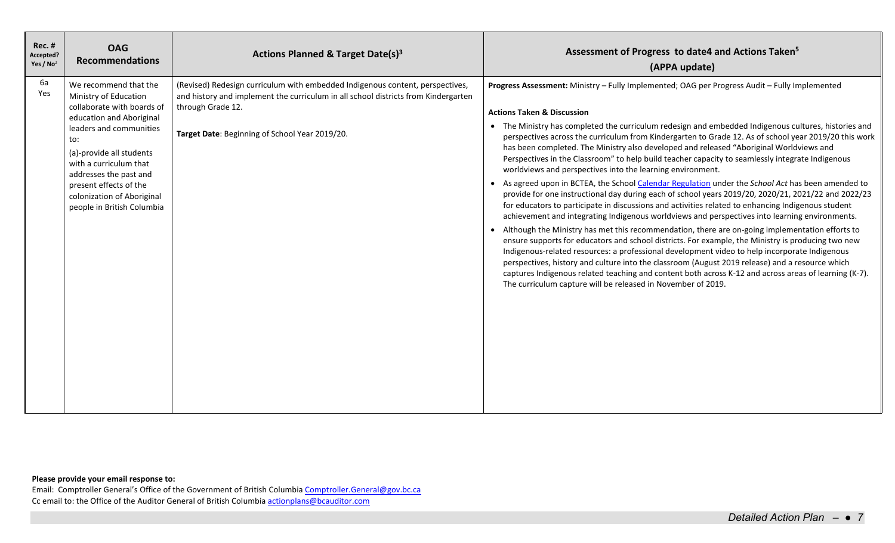| $Rec.$ #<br>Accepted?<br>Yes / $No2$ | <b>OAG</b><br><b>Recommendations</b>                                                                                                                                                                                                                                                                             | Actions Planned & Target Date(s) <sup>3</sup>                                                                                                                                                                                              | Assessment of Progress to date4 and Actions Taken <sup>5</sup><br>(APPA update)                                                                                                                                                                                                                                                                                                                                                                                                                                                                                                                                                                                                                                                                                                                                                                                                                                                                                                                                                                                                                                                                                                                                                                                                                                                                                                                                                                                                                                                                                                                                                   |
|--------------------------------------|------------------------------------------------------------------------------------------------------------------------------------------------------------------------------------------------------------------------------------------------------------------------------------------------------------------|--------------------------------------------------------------------------------------------------------------------------------------------------------------------------------------------------------------------------------------------|-----------------------------------------------------------------------------------------------------------------------------------------------------------------------------------------------------------------------------------------------------------------------------------------------------------------------------------------------------------------------------------------------------------------------------------------------------------------------------------------------------------------------------------------------------------------------------------------------------------------------------------------------------------------------------------------------------------------------------------------------------------------------------------------------------------------------------------------------------------------------------------------------------------------------------------------------------------------------------------------------------------------------------------------------------------------------------------------------------------------------------------------------------------------------------------------------------------------------------------------------------------------------------------------------------------------------------------------------------------------------------------------------------------------------------------------------------------------------------------------------------------------------------------------------------------------------------------------------------------------------------------|
| 6a<br>Yes                            | We recommend that the<br>Ministry of Education<br>collaborate with boards of<br>education and Aboriginal<br>leaders and communities<br>to:<br>(a)-provide all students<br>with a curriculum that<br>addresses the past and<br>present effects of the<br>colonization of Aboriginal<br>people in British Columbia | (Revised) Redesign curriculum with embedded Indigenous content, perspectives,<br>and history and implement the curriculum in all school districts from Kindergarten<br>through Grade 12.<br>Target Date: Beginning of School Year 2019/20. | Progress Assessment: Ministry - Fully Implemented; OAG per Progress Audit - Fully Implemented<br><b>Actions Taken &amp; Discussion</b><br>• The Ministry has completed the curriculum redesign and embedded Indigenous cultures, histories and<br>perspectives across the curriculum from Kindergarten to Grade 12. As of school year 2019/20 this work<br>has been completed. The Ministry also developed and released "Aboriginal Worldviews and<br>Perspectives in the Classroom" to help build teacher capacity to seamlessly integrate Indigenous<br>worldviews and perspectives into the learning environment.<br>• As agreed upon in BCTEA, the School Calendar Regulation under the School Act has been amended to<br>provide for one instructional day during each of school years 2019/20, 2020/21, 2021/22 and 2022/23<br>for educators to participate in discussions and activities related to enhancing Indigenous student<br>achievement and integrating Indigenous worldviews and perspectives into learning environments.<br>• Although the Ministry has met this recommendation, there are on-going implementation efforts to<br>ensure supports for educators and school districts. For example, the Ministry is producing two new<br>Indigenous-related resources: a professional development video to help incorporate Indigenous<br>perspectives, history and culture into the classroom (August 2019 release) and a resource which<br>captures Indigenous related teaching and content both across K-12 and across areas of learning (K-7).<br>The curriculum capture will be released in November of 2019. |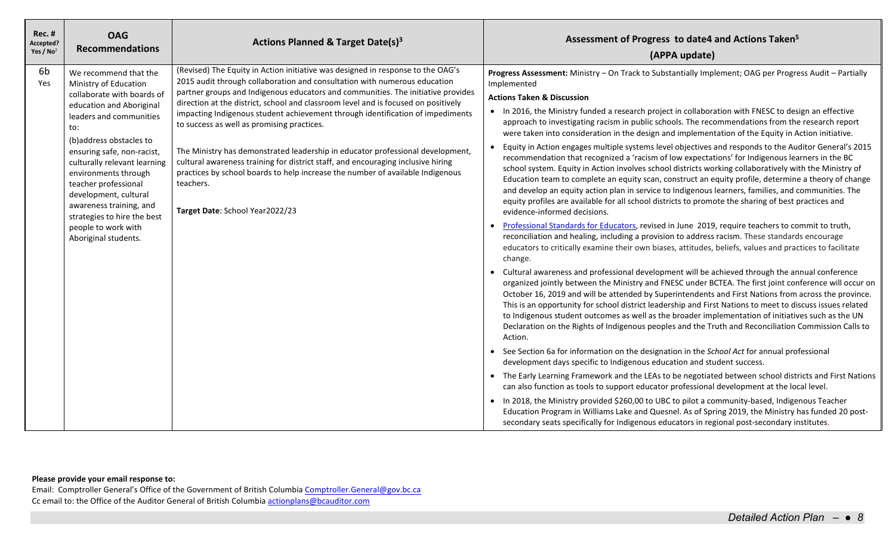| <b>Rec. #</b><br>Accepted?<br>Yes / $No2$ | <b>OAG</b><br><b>Recommendations</b>                                                                                                                                                                                                                                                                                                                                                                                  | Actions Planned & Target Date(s) <sup>3</sup>                                                                                                                                                                                                                                                                                                                                                                                                                                                                                                                                                                                                                                                                                                                                  | Assessment of Progress to date4 and Actions Taken <sup>5</sup><br>(APPA update)                                                                                                                                                                                                                                                                                                                                                                                                                                                                                                                                                                                                                                                                                                                                                                                                                                                                                                                                                                                                                                                                                                                                                                                                                                                                                                                                                                                                                                                                                                                                                                                                                                                                                                                                                                                                                                                                                                                                                                                                                                                                                                                                                                                                                                                                                                                                                                                                                                                                                                                                                                                                                                                                                                                                                                                                 |
|-------------------------------------------|-----------------------------------------------------------------------------------------------------------------------------------------------------------------------------------------------------------------------------------------------------------------------------------------------------------------------------------------------------------------------------------------------------------------------|--------------------------------------------------------------------------------------------------------------------------------------------------------------------------------------------------------------------------------------------------------------------------------------------------------------------------------------------------------------------------------------------------------------------------------------------------------------------------------------------------------------------------------------------------------------------------------------------------------------------------------------------------------------------------------------------------------------------------------------------------------------------------------|---------------------------------------------------------------------------------------------------------------------------------------------------------------------------------------------------------------------------------------------------------------------------------------------------------------------------------------------------------------------------------------------------------------------------------------------------------------------------------------------------------------------------------------------------------------------------------------------------------------------------------------------------------------------------------------------------------------------------------------------------------------------------------------------------------------------------------------------------------------------------------------------------------------------------------------------------------------------------------------------------------------------------------------------------------------------------------------------------------------------------------------------------------------------------------------------------------------------------------------------------------------------------------------------------------------------------------------------------------------------------------------------------------------------------------------------------------------------------------------------------------------------------------------------------------------------------------------------------------------------------------------------------------------------------------------------------------------------------------------------------------------------------------------------------------------------------------------------------------------------------------------------------------------------------------------------------------------------------------------------------------------------------------------------------------------------------------------------------------------------------------------------------------------------------------------------------------------------------------------------------------------------------------------------------------------------------------------------------------------------------------------------------------------------------------------------------------------------------------------------------------------------------------------------------------------------------------------------------------------------------------------------------------------------------------------------------------------------------------------------------------------------------------------------------------------------------------------------------------------------------------|
| 6b<br>Yes                                 | We recommend that the<br>Ministry of Education<br>collaborate with boards of<br>education and Aboriginal<br>leaders and communities<br>to:<br>(b)address obstacles to<br>ensuring safe, non-racist,<br>culturally relevant learning<br>environments through<br>teacher professional<br>development, cultural<br>awareness training, and<br>strategies to hire the best<br>people to work with<br>Aboriginal students. | (Revised) The Equity in Action initiative was designed in response to the OAG's<br>2015 audit through collaboration and consultation with numerous education<br>partner groups and Indigenous educators and communities. The initiative provides<br>direction at the district, school and classroom level and is focused on positively<br>impacting Indigenous student achievement through identification of impediments<br>to success as well as promising practices.<br>The Ministry has demonstrated leadership in educator professional development,<br>cultural awareness training for district staff, and encouraging inclusive hiring<br>practices by school boards to help increase the number of available Indigenous<br>teachers.<br>Target Date: School Year2022/23 | Progress Assessment: Ministry - On Track to Substantially Implement; OAG per Progress Audit - Partially<br>Implemented<br><b>Actions Taken &amp; Discussion</b><br>• In 2016, the Ministry funded a research project in collaboration with FNESC to design an effective<br>approach to investigating racism in public schools. The recommendations from the research report<br>were taken into consideration in the design and implementation of the Equity in Action initiative.<br>Equity in Action engages multiple systems level objectives and responds to the Auditor General's 2015<br>$\bullet$<br>recommendation that recognized a 'racism of low expectations' for Indigenous learners in the BC<br>school system. Equity in Action involves school districts working collaboratively with the Ministry of<br>Education team to complete an equity scan, construct an equity profile, determine a theory of change<br>and develop an equity action plan in service to Indigenous learners, families, and communities. The<br>equity profiles are available for all school districts to promote the sharing of best practices and<br>evidence-informed decisions.<br>Professional Standards for Educators, revised in June 2019, require teachers to commit to truth,<br>$\bullet$<br>reconciliation and healing, including a provision to address racism. These standards encourage<br>educators to critically examine their own biases, attitudes, beliefs, values and practices to facilitate<br>change.<br>• Cultural awareness and professional development will be achieved through the annual conference<br>organized jointly between the Ministry and FNESC under BCTEA. The first joint conference will occur on<br>October 16, 2019 and will be attended by Superintendents and First Nations from across the province.<br>This is an opportunity for school district leadership and First Nations to meet to discuss issues related<br>to Indigenous student outcomes as well as the broader implementation of initiatives such as the UN<br>Declaration on the Rights of Indigenous peoples and the Truth and Reconciliation Commission Calls to<br>Action.<br>• See Section 6a for information on the designation in the School Act for annual professional<br>development days specific to Indigenous education and student success.<br>• The Early Learning Framework and the LEAs to be negotiated between school districts and First Nations<br>can also function as tools to support educator professional development at the local level.<br>. In 2018, the Ministry provided \$260,00 to UBC to pilot a community-based, Indigenous Teacher<br>Education Program in Williams Lake and Quesnel. As of Spring 2019, the Ministry has funded 20 post-<br>secondary seats specifically for Indigenous educators in regional post-secondary institutes. |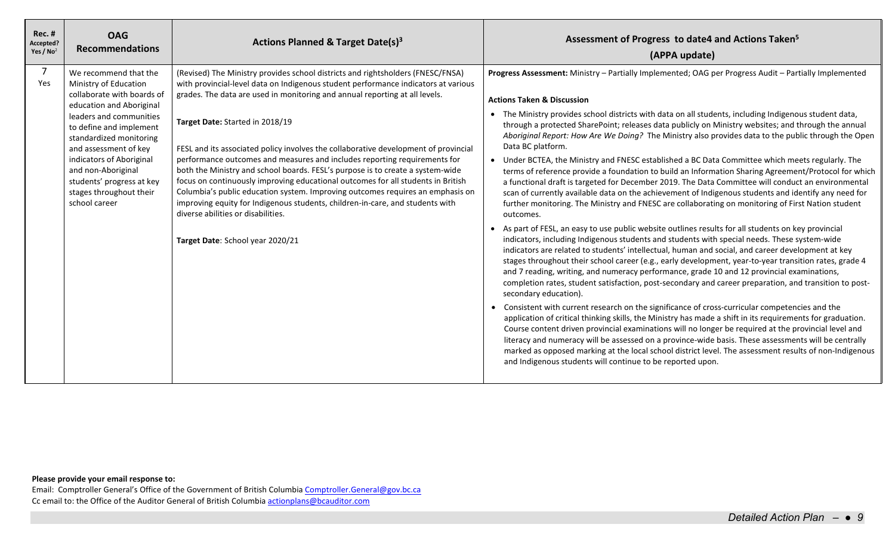| <b>Rec. #</b><br>Accepted?<br>Yes / $No2$ | <b>OAG</b><br><b>Recommendations</b>                                                                                                                                                                                                                                                                                                          | Actions Planned & Target Date(s) <sup>3</sup>                                                                                                                                                                                                                                                                                                                                                                                                                                                                                                                                                                                                                                                                                                                                                                                                                                  | Assessment of Progress to date4 and Actions Taken <sup>5</sup><br>(APPA update)                                                                                                                                                                                                                                                                                                                                                                                                                                                                                                                                                                                                                                                                                                                                                                                                                                                                                                                                                                                                                                                                                                                                                                                                                                                                                                                                                                                                                                                                                                                                                                                                                                                                                                                                                                                                                                                                                                                                                                                                                                                                                                                                                                                                                         |
|-------------------------------------------|-----------------------------------------------------------------------------------------------------------------------------------------------------------------------------------------------------------------------------------------------------------------------------------------------------------------------------------------------|--------------------------------------------------------------------------------------------------------------------------------------------------------------------------------------------------------------------------------------------------------------------------------------------------------------------------------------------------------------------------------------------------------------------------------------------------------------------------------------------------------------------------------------------------------------------------------------------------------------------------------------------------------------------------------------------------------------------------------------------------------------------------------------------------------------------------------------------------------------------------------|---------------------------------------------------------------------------------------------------------------------------------------------------------------------------------------------------------------------------------------------------------------------------------------------------------------------------------------------------------------------------------------------------------------------------------------------------------------------------------------------------------------------------------------------------------------------------------------------------------------------------------------------------------------------------------------------------------------------------------------------------------------------------------------------------------------------------------------------------------------------------------------------------------------------------------------------------------------------------------------------------------------------------------------------------------------------------------------------------------------------------------------------------------------------------------------------------------------------------------------------------------------------------------------------------------------------------------------------------------------------------------------------------------------------------------------------------------------------------------------------------------------------------------------------------------------------------------------------------------------------------------------------------------------------------------------------------------------------------------------------------------------------------------------------------------------------------------------------------------------------------------------------------------------------------------------------------------------------------------------------------------------------------------------------------------------------------------------------------------------------------------------------------------------------------------------------------------------------------------------------------------------------------------------------------------|
| $\overline{7}$<br>Yes                     | We recommend that the<br>Ministry of Education<br>collaborate with boards of<br>education and Aboriginal<br>leaders and communities<br>to define and implement<br>standardized monitoring<br>and assessment of key<br>indicators of Aboriginal<br>and non-Aboriginal<br>students' progress at key<br>stages throughout their<br>school career | (Revised) The Ministry provides school districts and rightsholders (FNESC/FNSA)<br>with provincial-level data on Indigenous student performance indicators at various<br>grades. The data are used in monitoring and annual reporting at all levels.<br>Target Date: Started in 2018/19<br>FESL and its associated policy involves the collaborative development of provincial<br>performance outcomes and measures and includes reporting requirements for<br>both the Ministry and school boards. FESL's purpose is to create a system-wide<br>focus on continuously improving educational outcomes for all students in British<br>Columbia's public education system. Improving outcomes requires an emphasis on<br>improving equity for Indigenous students, children-in-care, and students with<br>diverse abilities or disabilities.<br>Target Date: School year 2020/21 | Progress Assessment: Ministry - Partially Implemented; OAG per Progress Audit - Partially Implemented<br><b>Actions Taken &amp; Discussion</b><br>• The Ministry provides school districts with data on all students, including Indigenous student data,<br>through a protected SharePoint; releases data publicly on Ministry websites; and through the annual<br>Aboriginal Report: How Are We Doing? The Ministry also provides data to the public through the Open<br>Data BC platform.<br>• Under BCTEA, the Ministry and FNESC established a BC Data Committee which meets regularly. The<br>terms of reference provide a foundation to build an Information Sharing Agreement/Protocol for which<br>a functional draft is targeted for December 2019. The Data Committee will conduct an environmental<br>scan of currently available data on the achievement of Indigenous students and identify any need for<br>further monitoring. The Ministry and FNESC are collaborating on monitoring of First Nation student<br>outcomes.<br>As part of FESL, an easy to use public website outlines results for all students on key provincial<br>indicators, including Indigenous students and students with special needs. These system-wide<br>indicators are related to students' intellectual, human and social, and career development at key<br>stages throughout their school career (e.g., early development, year-to-year transition rates, grade 4<br>and 7 reading, writing, and numeracy performance, grade 10 and 12 provincial examinations,<br>completion rates, student satisfaction, post-secondary and career preparation, and transition to post-<br>secondary education).<br>• Consistent with current research on the significance of cross-curricular competencies and the<br>application of critical thinking skills, the Ministry has made a shift in its requirements for graduation.<br>Course content driven provincial examinations will no longer be required at the provincial level and<br>literacy and numeracy will be assessed on a province-wide basis. These assessments will be centrally<br>marked as opposed marking at the local school district level. The assessment results of non-Indigenous<br>and Indigenous students will continue to be reported upon. |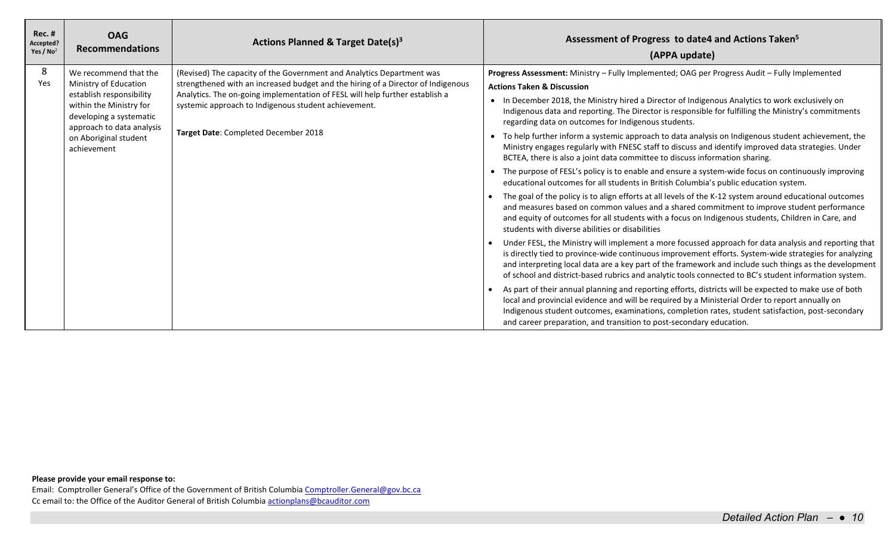| <b>Rec. #</b><br>Accepted?<br>Yes / $No2$ | <b>OAG</b><br><b>Recommendations</b>                                                                                                                                                                  | Actions Planned & Target Date(s) <sup>3</sup>                                                                                                                                                                                                                                                                                             | Assessment of Progress to date4 and Actions Taken <sup>5</sup><br>(APPA update)                                                                                                                                                                                                                                                                                                                                                                                                                                                                                                                                                                                                                                                                                                                                                                                                                                                                                                                                                                                                                                                                                                                                                                                                                                                                                                                                                                                                                                                                                                                                                                                                                                                                                                                                                                                                                                                                                                                                                                                                                      |
|-------------------------------------------|-------------------------------------------------------------------------------------------------------------------------------------------------------------------------------------------------------|-------------------------------------------------------------------------------------------------------------------------------------------------------------------------------------------------------------------------------------------------------------------------------------------------------------------------------------------|------------------------------------------------------------------------------------------------------------------------------------------------------------------------------------------------------------------------------------------------------------------------------------------------------------------------------------------------------------------------------------------------------------------------------------------------------------------------------------------------------------------------------------------------------------------------------------------------------------------------------------------------------------------------------------------------------------------------------------------------------------------------------------------------------------------------------------------------------------------------------------------------------------------------------------------------------------------------------------------------------------------------------------------------------------------------------------------------------------------------------------------------------------------------------------------------------------------------------------------------------------------------------------------------------------------------------------------------------------------------------------------------------------------------------------------------------------------------------------------------------------------------------------------------------------------------------------------------------------------------------------------------------------------------------------------------------------------------------------------------------------------------------------------------------------------------------------------------------------------------------------------------------------------------------------------------------------------------------------------------------------------------------------------------------------------------------------------------------|
| 8<br>Yes                                  | We recommend that the<br>Ministry of Education<br>establish responsibility<br>within the Ministry for<br>developing a systematic<br>approach to data analysis<br>on Aboriginal student<br>achievement | (Revised) The capacity of the Government and Analytics Department was<br>strengthened with an increased budget and the hiring of a Director of Indigenous<br>Analytics. The on-going implementation of FESL will help further establish a<br>systemic approach to Indigenous student achievement.<br>Target Date: Completed December 2018 | Progress Assessment: Ministry - Fully Implemented; OAG per Progress Audit - Fully Implemented<br><b>Actions Taken &amp; Discussion</b><br>• In December 2018, the Ministry hired a Director of Indigenous Analytics to work exclusively on<br>Indigenous data and reporting. The Director is responsible for fulfilling the Ministry's commitments<br>regarding data on outcomes for Indigenous students.<br>To help further inform a systemic approach to data analysis on Indigenous student achievement, the<br>Ministry engages regularly with FNESC staff to discuss and identify improved data strategies. Under<br>BCTEA, there is also a joint data committee to discuss information sharing.<br>The purpose of FESL's policy is to enable and ensure a system-wide focus on continuously improving<br>educational outcomes for all students in British Columbia's public education system.<br>The goal of the policy is to align efforts at all levels of the K-12 system around educational outcomes<br>and measures based on common values and a shared commitment to improve student performance<br>and equity of outcomes for all students with a focus on Indigenous students, Children in Care, and<br>students with diverse abilities or disabilities<br>Under FESL, the Ministry will implement a more focussed approach for data analysis and reporting that<br>is directly tied to province-wide continuous improvement efforts. System-wide strategies for analyzing<br>and interpreting local data are a key part of the framework and include such things as the development<br>of school and district-based rubrics and analytic tools connected to BC's student information system.<br>As part of their annual planning and reporting efforts, districts will be expected to make use of both<br>local and provincial evidence and will be required by a Ministerial Order to report annually on<br>Indigenous student outcomes, examinations, completion rates, student satisfaction, post-secondary<br>and career preparation, and transition to post-secondary education. |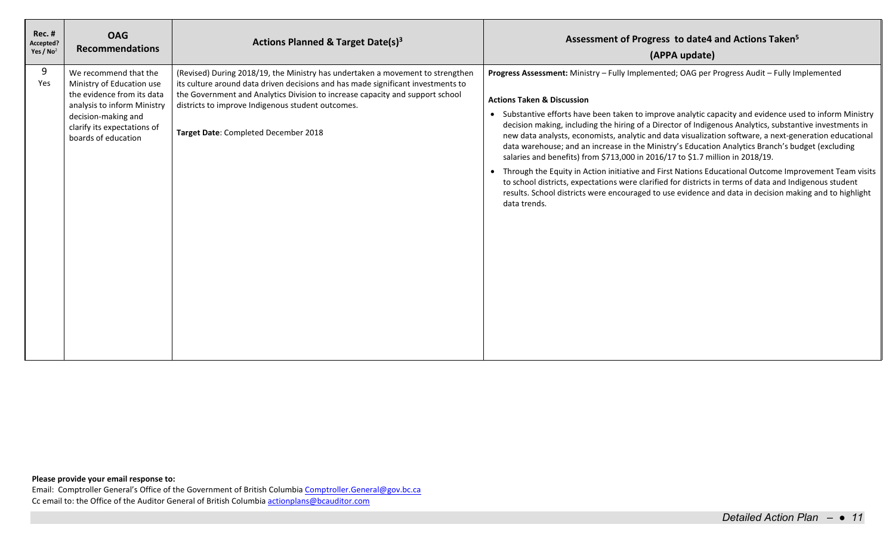| <b>Rec. #</b><br>Accepted?<br>Yes / $No2$ | <b>OAG</b><br><b>Recommendations</b>                                                                                                                                                         | Actions Planned & Target Date(s) <sup>3</sup>                                                                                                                                                                                                                                                                                                    | Assessment of Progress to date4 and Actions Taken <sup>5</sup><br>(APPA update)                                                                                                                                                                                                                                                                                                                                                                                                                                                                                                                                                                                                                                                                                                                                                                                                                                                                                                                          |
|-------------------------------------------|----------------------------------------------------------------------------------------------------------------------------------------------------------------------------------------------|--------------------------------------------------------------------------------------------------------------------------------------------------------------------------------------------------------------------------------------------------------------------------------------------------------------------------------------------------|----------------------------------------------------------------------------------------------------------------------------------------------------------------------------------------------------------------------------------------------------------------------------------------------------------------------------------------------------------------------------------------------------------------------------------------------------------------------------------------------------------------------------------------------------------------------------------------------------------------------------------------------------------------------------------------------------------------------------------------------------------------------------------------------------------------------------------------------------------------------------------------------------------------------------------------------------------------------------------------------------------|
| 9<br>Yes                                  | We recommend that the<br>Ministry of Education use<br>the evidence from its data<br>analysis to inform Ministry<br>decision-making and<br>clarify its expectations of<br>boards of education | (Revised) During 2018/19, the Ministry has undertaken a movement to strengthen<br>its culture around data driven decisions and has made significant investments to<br>the Government and Analytics Division to increase capacity and support school<br>districts to improve Indigenous student outcomes.<br>Target Date: Completed December 2018 | Progress Assessment: Ministry - Fully Implemented; OAG per Progress Audit - Fully Implemented<br><b>Actions Taken &amp; Discussion</b><br>• Substantive efforts have been taken to improve analytic capacity and evidence used to inform Ministry<br>decision making, including the hiring of a Director of Indigenous Analytics, substantive investments in<br>new data analysts, economists, analytic and data visualization software, a next-generation educational<br>data warehouse; and an increase in the Ministry's Education Analytics Branch's budget (excluding<br>salaries and benefits) from \$713,000 in 2016/17 to \$1.7 million in 2018/19.<br>Through the Equity in Action initiative and First Nations Educational Outcome Improvement Team visits<br>to school districts, expectations were clarified for districts in terms of data and Indigenous student<br>results. School districts were encouraged to use evidence and data in decision making and to highlight<br>data trends. |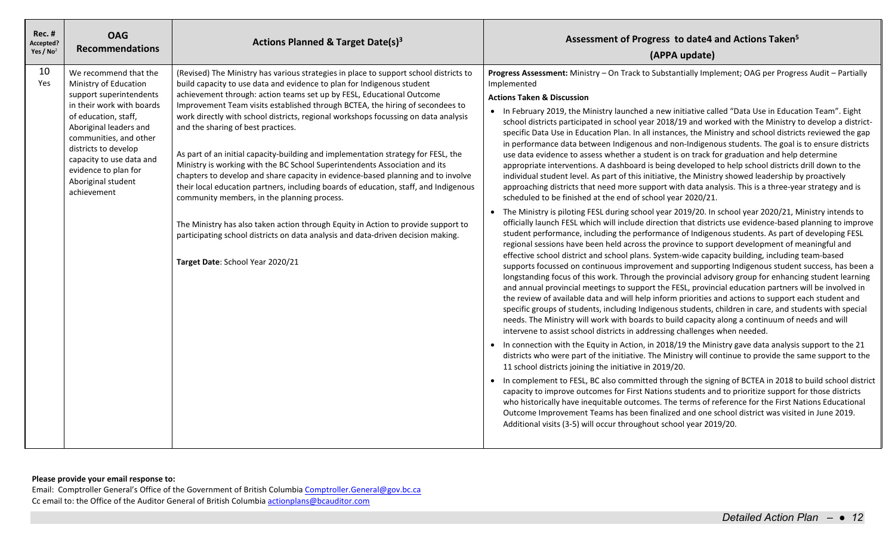| $Rec.$ #<br>Accepted?<br>Yes / $No2$ | <b>OAG</b><br><b>Recommendations</b>                                                                                                                                                                                                                                                                | Actions Planned & Target Date(s) <sup>3</sup>                                                                                                                                                                                                                                                                                                                                                                                                                                                                                                                                                                                                                                                                                                                                                                                                                                                                                                                                                                                                                    | Assessment of Progress to date4 and Actions Taken <sup>5</sup><br>(APPA update)                                                                                                                                                                                                                                                                                                                                                                                                                                                                                                                                                                                                                                                                                                                                                                                                                                                                                                                                                                                                                                                                                                                                                                                                                                                                                                                                                                                                                                                                                                                                                                                                                                                                                                                                                                                                                                                                                                                                                                                                                                                                                                                                                                                                                                                                                                                                                                                                                                                                                                                                                                                                                                                                                                                                                                                                                                                                                                                                                                                                                                                                |
|--------------------------------------|-----------------------------------------------------------------------------------------------------------------------------------------------------------------------------------------------------------------------------------------------------------------------------------------------------|------------------------------------------------------------------------------------------------------------------------------------------------------------------------------------------------------------------------------------------------------------------------------------------------------------------------------------------------------------------------------------------------------------------------------------------------------------------------------------------------------------------------------------------------------------------------------------------------------------------------------------------------------------------------------------------------------------------------------------------------------------------------------------------------------------------------------------------------------------------------------------------------------------------------------------------------------------------------------------------------------------------------------------------------------------------|------------------------------------------------------------------------------------------------------------------------------------------------------------------------------------------------------------------------------------------------------------------------------------------------------------------------------------------------------------------------------------------------------------------------------------------------------------------------------------------------------------------------------------------------------------------------------------------------------------------------------------------------------------------------------------------------------------------------------------------------------------------------------------------------------------------------------------------------------------------------------------------------------------------------------------------------------------------------------------------------------------------------------------------------------------------------------------------------------------------------------------------------------------------------------------------------------------------------------------------------------------------------------------------------------------------------------------------------------------------------------------------------------------------------------------------------------------------------------------------------------------------------------------------------------------------------------------------------------------------------------------------------------------------------------------------------------------------------------------------------------------------------------------------------------------------------------------------------------------------------------------------------------------------------------------------------------------------------------------------------------------------------------------------------------------------------------------------------------------------------------------------------------------------------------------------------------------------------------------------------------------------------------------------------------------------------------------------------------------------------------------------------------------------------------------------------------------------------------------------------------------------------------------------------------------------------------------------------------------------------------------------------------------------------------------------------------------------------------------------------------------------------------------------------------------------------------------------------------------------------------------------------------------------------------------------------------------------------------------------------------------------------------------------------------------------------------------------------------------------------------------------------|
| 10<br>Yes                            | We recommend that the<br>Ministry of Education<br>support superintendents<br>in their work with boards<br>of education, staff,<br>Aboriginal leaders and<br>communities, and other<br>districts to develop<br>capacity to use data and<br>evidence to plan for<br>Aboriginal student<br>achievement | (Revised) The Ministry has various strategies in place to support school districts to<br>build capacity to use data and evidence to plan for Indigenous student<br>achievement through: action teams set up by FESL, Educational Outcome<br>Improvement Team visits established through BCTEA, the hiring of secondees to<br>work directly with school districts, regional workshops focussing on data analysis<br>and the sharing of best practices.<br>As part of an initial capacity-building and implementation strategy for FESL, the<br>Ministry is working with the BC School Superintendents Association and its<br>chapters to develop and share capacity in evidence-based planning and to involve<br>their local education partners, including boards of education, staff, and Indigenous<br>community members, in the planning process.<br>The Ministry has also taken action through Equity in Action to provide support to<br>participating school districts on data analysis and data-driven decision making.<br>Target Date: School Year 2020/21 | Progress Assessment: Ministry - On Track to Substantially Implement; OAG per Progress Audit - Partially<br>Implemented<br><b>Actions Taken &amp; Discussion</b><br>• In February 2019, the Ministry launched a new initiative called "Data Use in Education Team". Eight<br>school districts participated in school year 2018/19 and worked with the Ministry to develop a district-<br>specific Data Use in Education Plan. In all instances, the Ministry and school districts reviewed the gap<br>in performance data between Indigenous and non-Indigenous students. The goal is to ensure districts<br>use data evidence to assess whether a student is on track for graduation and help determine<br>appropriate interventions. A dashboard is being developed to help school districts drill down to the<br>individual student level. As part of this initiative, the Ministry showed leadership by proactively<br>approaching districts that need more support with data analysis. This is a three-year strategy and is<br>scheduled to be finished at the end of school year 2020/21.<br>• The Ministry is piloting FESL during school year 2019/20. In school year 2020/21, Ministry intends to<br>officially launch FESL which will include direction that districts use evidence-based planning to improve<br>student performance, including the performance of Indigenous students. As part of developing FESL<br>regional sessions have been held across the province to support development of meaningful and<br>effective school district and school plans. System-wide capacity building, including team-based<br>supports focussed on continuous improvement and supporting Indigenous student success, has been a<br>longstanding focus of this work. Through the provincial advisory group for enhancing student learning<br>and annual provincial meetings to support the FESL, provincial education partners will be involved in<br>the review of available data and will help inform priorities and actions to support each student and<br>specific groups of students, including Indigenous students, children in care, and students with special<br>needs. The Ministry will work with boards to build capacity along a continuum of needs and will<br>intervene to assist school districts in addressing challenges when needed.<br>In connection with the Equity in Action, in 2018/19 the Ministry gave data analysis support to the 21<br>districts who were part of the initiative. The Ministry will continue to provide the same support to the<br>11 school districts joining the initiative in 2019/20.<br>• In complement to FESL, BC also committed through the signing of BCTEA in 2018 to build school district<br>capacity to improve outcomes for First Nations students and to prioritize support for those districts<br>who historically have inequitable outcomes. The terms of reference for the First Nations Educational<br>Outcome Improvement Teams has been finalized and one school district was visited in June 2019.<br>Additional visits (3-5) will occur throughout school year 2019/20. |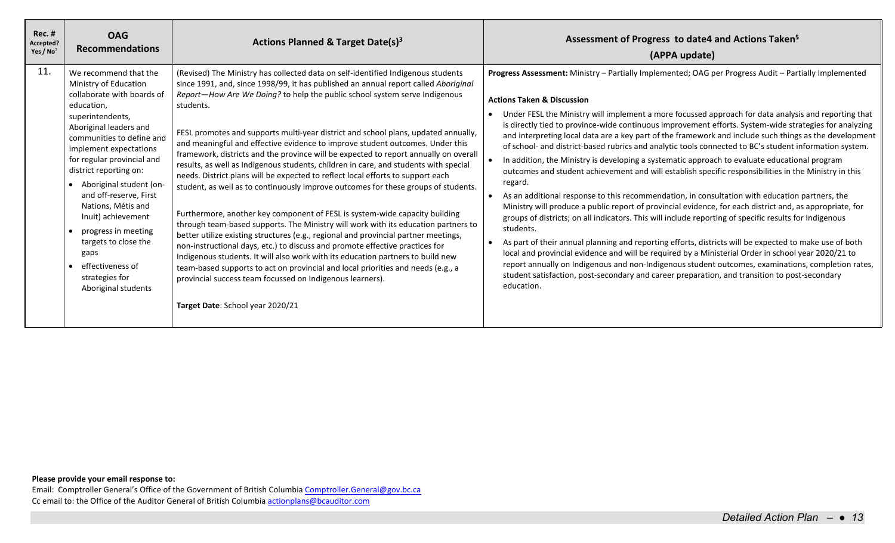| <b>Rec. #</b><br>Accepted?<br>Yes / $No2$ | <b>OAG</b><br><b>Recommendations</b>                                                                                                                                                                                                                                                                                                                                                                                                                                           | Actions Planned & Target Date(s) <sup>3</sup>                                                                                                                                                                                                                                                                                                                                                                                                                                                                                                                                                                                                                                                                                                                                                                                                                                                                                                                                                                                                                                                                                                                                                                                                                                                                                                                                                                          | Assessment of Progress to date4 and Actions Taken <sup>5</sup><br>(APPA update)                                                                                                                                                                                                                                                                                                                                                                                                                                                                                                                                                                                                                                                                                                                                                                                                                                                                                                                                                                                                                                                                                                                                                                                                                                                                                                                                                                                                                                                                                                      |
|-------------------------------------------|--------------------------------------------------------------------------------------------------------------------------------------------------------------------------------------------------------------------------------------------------------------------------------------------------------------------------------------------------------------------------------------------------------------------------------------------------------------------------------|------------------------------------------------------------------------------------------------------------------------------------------------------------------------------------------------------------------------------------------------------------------------------------------------------------------------------------------------------------------------------------------------------------------------------------------------------------------------------------------------------------------------------------------------------------------------------------------------------------------------------------------------------------------------------------------------------------------------------------------------------------------------------------------------------------------------------------------------------------------------------------------------------------------------------------------------------------------------------------------------------------------------------------------------------------------------------------------------------------------------------------------------------------------------------------------------------------------------------------------------------------------------------------------------------------------------------------------------------------------------------------------------------------------------|--------------------------------------------------------------------------------------------------------------------------------------------------------------------------------------------------------------------------------------------------------------------------------------------------------------------------------------------------------------------------------------------------------------------------------------------------------------------------------------------------------------------------------------------------------------------------------------------------------------------------------------------------------------------------------------------------------------------------------------------------------------------------------------------------------------------------------------------------------------------------------------------------------------------------------------------------------------------------------------------------------------------------------------------------------------------------------------------------------------------------------------------------------------------------------------------------------------------------------------------------------------------------------------------------------------------------------------------------------------------------------------------------------------------------------------------------------------------------------------------------------------------------------------------------------------------------------------|
| 11.                                       | We recommend that the<br>Ministry of Education<br>collaborate with boards of<br>education,<br>superintendents,<br>Aboriginal leaders and<br>communities to define and<br>implement expectations<br>for regular provincial and<br>district reporting on:<br>• Aboriginal student (on-<br>and off-reserve, First<br>Nations, Métis and<br>Inuit) achievement<br>progress in meeting<br>targets to close the<br>gaps<br>effectiveness of<br>strategies for<br>Aboriginal students | (Revised) The Ministry has collected data on self-identified Indigenous students<br>since 1991, and, since 1998/99, it has published an annual report called Aboriginal<br>Report-How Are We Doing? to help the public school system serve Indigenous<br>students.<br>FESL promotes and supports multi-year district and school plans, updated annually,<br>and meaningful and effective evidence to improve student outcomes. Under this<br>framework, districts and the province will be expected to report annually on overall<br>results, as well as Indigenous students, children in care, and students with special<br>needs. District plans will be expected to reflect local efforts to support each<br>student, as well as to continuously improve outcomes for these groups of students.<br>Furthermore, another key component of FESL is system-wide capacity building<br>through team-based supports. The Ministry will work with its education partners to<br>better utilize existing structures (e.g., regional and provincial partner meetings,<br>non-instructional days, etc.) to discuss and promote effective practices for<br>Indigenous students. It will also work with its education partners to build new<br>team-based supports to act on provincial and local priorities and needs (e.g., a<br>provincial success team focussed on Indigenous learners).<br>Target Date: School year 2020/21 | Progress Assessment: Ministry - Partially Implemented; OAG per Progress Audit - Partially Implemented<br><b>Actions Taken &amp; Discussion</b><br>Under FESL the Ministry will implement a more focussed approach for data analysis and reporting that<br>is directly tied to province-wide continuous improvement efforts. System-wide strategies for analyzing<br>and interpreting local data are a key part of the framework and include such things as the development<br>of school- and district-based rubrics and analytic tools connected to BC's student information system.<br>In addition, the Ministry is developing a systematic approach to evaluate educational program<br>outcomes and student achievement and will establish specific responsibilities in the Ministry in this<br>regard.<br>As an additional response to this recommendation, in consultation with education partners, the<br>Ministry will produce a public report of provincial evidence, for each district and, as appropriate, for<br>groups of districts; on all indicators. This will include reporting of specific results for Indigenous<br>students.<br>As part of their annual planning and reporting efforts, districts will be expected to make use of both<br>local and provincial evidence and will be required by a Ministerial Order in school year 2020/21 to<br>report annually on Indigenous and non-Indigenous student outcomes, examinations, completion rates,<br>student satisfaction, post-secondary and career preparation, and transition to post-secondary<br>education. |